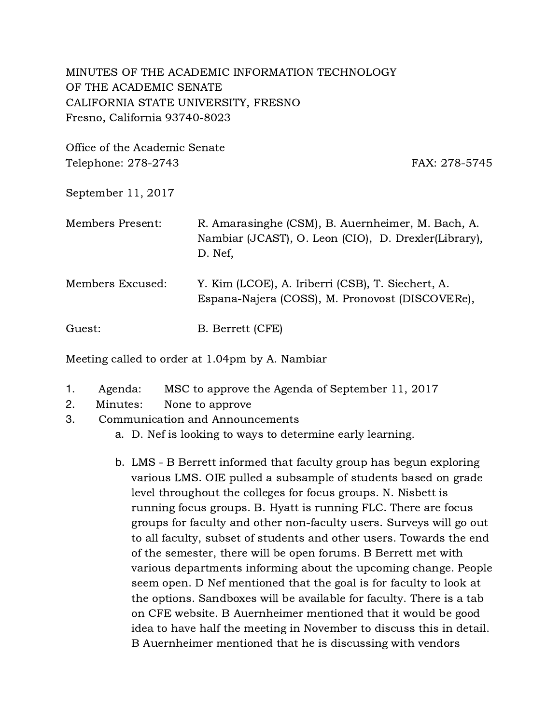MINUTES OF THE ACADEMIC INFORMATION TECHNOLOGY OF THE ACADEMIC SENATE CALIFORNIA STATE UNIVERSITY, FRESNO Fresno, California 93740-8023

Office of the Academic Senate Telephone: 278-2743 FAX: 278-5745

September 11, 2017

| Members Present: | R. Amarasinghe (CSM), B. Auernheimer, M. Bach, A.<br>Nambiar (JCAST), O. Leon (CIO), D. Drexler(Library),<br>D. Nef, |
|------------------|----------------------------------------------------------------------------------------------------------------------|
| Members Excused: | Y. Kim (LCOE), A. Iriberri (CSB), T. Siechert, A.<br>Espana-Najera (COSS), M. Pronovost (DISCOVERe),                 |
| Guest:           | B. Berrett (CFE)                                                                                                     |

Meeting called to order at 1.04pm by A. Nambiar

- 1. Agenda: MSC to approve the Agenda of September 11, 2017
- 2. Minutes: None to approve
- 3. Communication and Announcements
	- a. D. Nef is looking to ways to determine early learning.
	- b. LMS B Berrett informed that faculty group has begun exploring various LMS. OIE pulled a subsample of students based on grade level throughout the colleges for focus groups. N. Nisbett is running focus groups. B. Hyatt is running FLC. There are focus groups for faculty and other non-faculty users. Surveys will go out to all faculty, subset of students and other users. Towards the end of the semester, there will be open forums. B Berrett met with various departments informing about the upcoming change. People seem open. D Nef mentioned that the goal is for faculty to look at the options. Sandboxes will be available for faculty. There is a tab on CFE website. B Auernheimer mentioned that it would be good idea to have half the meeting in November to discuss this in detail. B Auernheimer mentioned that he is discussing with vendors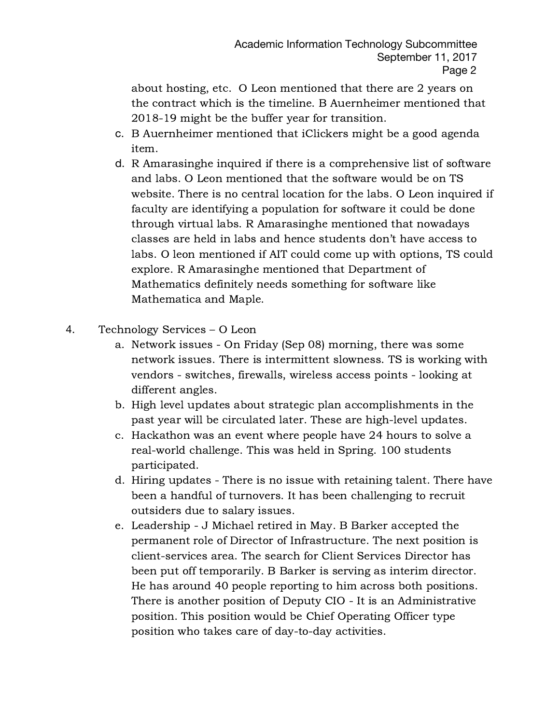about hosting, etc. O Leon mentioned that there are 2 years on the contract which is the timeline. B Auernheimer mentioned that 2018-19 might be the buffer year for transition.

- c. B Auernheimer mentioned that iClickers might be a good agenda item.
- d. R Amarasinghe inquired if there is a comprehensive list of software and labs. O Leon mentioned that the software would be on TS website. There is no central location for the labs. O Leon inquired if faculty are identifying a population for software it could be done through virtual labs. R Amarasinghe mentioned that nowadays classes are held in labs and hence students don't have access to labs. O leon mentioned if AIT could come up with options, TS could explore. R Amarasinghe mentioned that Department of Mathematics definitely needs something for software like Mathematica and Maple.
- 4. Technology Services O Leon
	- a. Network issues On Friday (Sep 08) morning, there was some network issues. There is intermittent slowness. TS is working with vendors - switches, firewalls, wireless access points - looking at different angles.
	- b. High level updates about strategic plan accomplishments in the past year will be circulated later. These are high-level updates.
	- c. Hackathon was an event where people have 24 hours to solve a real-world challenge. This was held in Spring. 100 students participated.
	- d. Hiring updates There is no issue with retaining talent. There have been a handful of turnovers. It has been challenging to recruit outsiders due to salary issues.
	- e. Leadership J Michael retired in May. B Barker accepted the permanent role of Director of Infrastructure. The next position is client-services area. The search for Client Services Director has been put off temporarily. B Barker is serving as interim director. He has around 40 people reporting to him across both positions. There is another position of Deputy CIO - It is an Administrative position. This position would be Chief Operating Officer type position who takes care of day-to-day activities.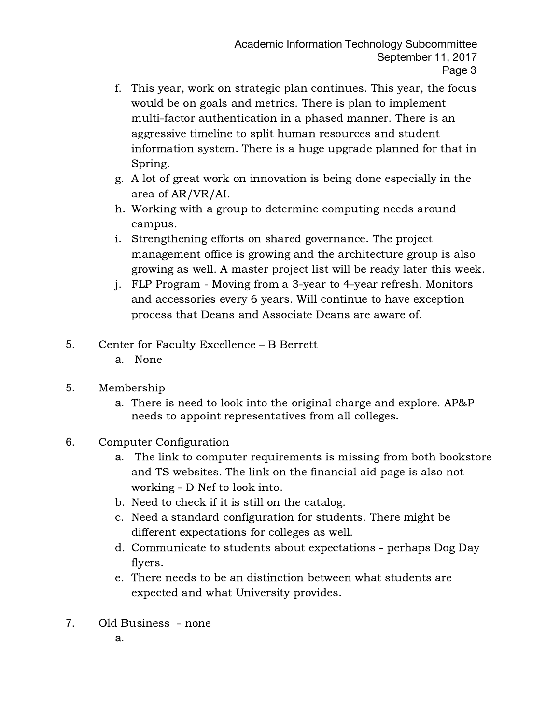- f. This year, work on strategic plan continues. This year, the focus would be on goals and metrics. There is plan to implement multi-factor authentication in a phased manner. There is an aggressive timeline to split human resources and student information system. There is a huge upgrade planned for that in Spring.
- g. A lot of great work on innovation is being done especially in the area of AR/VR/AI.
- h. Working with a group to determine computing needs around campus.
- i. Strengthening efforts on shared governance. The project management office is growing and the architecture group is also growing as well. A master project list will be ready later this week.
- j. FLP Program Moving from a 3-year to 4-year refresh. Monitors and accessories every 6 years. Will continue to have exception process that Deans and Associate Deans are aware of.
- 5. Center for Faculty Excellence B Berrett
	- a. None
- 5. Membership
	- a. There is need to look into the original charge and explore. AP&P needs to appoint representatives from all colleges.
- 6. Computer Configuration
	- a. The link to computer requirements is missing from both bookstore and TS websites. The link on the financial aid page is also not working - D Nef to look into.
	- b. Need to check if it is still on the catalog.
	- c. Need a standard configuration for students. There might be different expectations for colleges as well.
	- d. Communicate to students about expectations perhaps Dog Day flyers.
	- e. There needs to be an distinction between what students are expected and what University provides.
- 7. Old Business none
	- a.